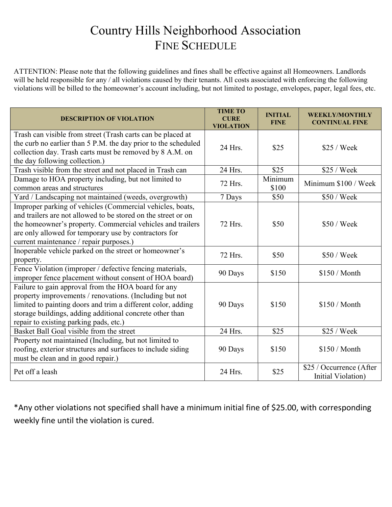## Country Hills Neighborhood Association FINE SCHEDULE

ATTENTION: Please note that the following guidelines and fines shall be effective against all Homeowners. Landlords will be held responsible for any / all violations caused by their tenants. All costs associated with enforcing the following violations will be billed to the homeowner's account including, but not limited to postage, envelopes, paper, legal fees, etc.

| <b>DESCRIPTION OF VIOLATION</b>                                                                                                                                                                                                                                                              | <b>TIME TO</b><br><b>CURE</b><br><b>VIOLATION</b> | <b>INITIAL</b><br><b>FINE</b> | <b>WEEKLY/MONTHLY</b><br><b>CONTINUAL FINE</b> |
|----------------------------------------------------------------------------------------------------------------------------------------------------------------------------------------------------------------------------------------------------------------------------------------------|---------------------------------------------------|-------------------------------|------------------------------------------------|
| Trash can visible from street (Trash carts can be placed at<br>the curb no earlier than 5 P.M. the day prior to the scheduled<br>collection day. Trash carts must be removed by 8 A.M. on<br>the day following collection.)                                                                  | 24 Hrs.                                           | \$25                          | \$25 / Week                                    |
| Trash visible from the street and not placed in Trash can                                                                                                                                                                                                                                    | 24 Hrs.                                           | \$25                          | \$25 / Week                                    |
| Damage to HOA property including, but not limited to<br>common areas and structures                                                                                                                                                                                                          | 72 Hrs.                                           | Minimum<br>\$100              | Minimum \$100 / Week                           |
| Yard / Landscaping not maintained (weeds, overgrowth)                                                                                                                                                                                                                                        | 7 Days                                            | \$50                          | \$50 / Week                                    |
| Improper parking of vehicles (Commercial vehicles, boats,<br>and trailers are not allowed to be stored on the street or on<br>the homeowner's property. Commercial vehicles and trailers<br>are only allowed for temporary use by contractors for<br>current maintenance / repair purposes.) | 72 Hrs.                                           | \$50                          | \$50 / Week                                    |
| Inoperable vehicle parked on the street or homeowner's<br>property.                                                                                                                                                                                                                          | 72 Hrs.                                           | \$50                          | \$50 / Week                                    |
| Fence Violation (improper / defective fencing materials,<br>improper fence placement without consent of HOA board)                                                                                                                                                                           | 90 Days                                           | \$150                         | \$150 / Month                                  |
| Failure to gain approval from the HOA board for any<br>property improvements / renovations. (Including but not<br>limited to painting doors and trim a different color, adding<br>storage buildings, adding additional concrete other than<br>repair to existing parking pads, etc.)         | 90 Days                                           | \$150                         | \$150 / Month                                  |
| Basket Ball Goal visible from the street                                                                                                                                                                                                                                                     | 24 Hrs.                                           | \$25                          | \$25 / Week                                    |
| Property not maintained (Including, but not limited to<br>roofing, exterior structures and surfaces to include siding<br>must be clean and in good repair.)                                                                                                                                  | 90 Days                                           | \$150                         | \$150 / Month                                  |
| Pet off a leash                                                                                                                                                                                                                                                                              | 24 Hrs.                                           | \$25                          | \$25 / Occurrence (After<br>Initial Violation) |

\*Any other violations not specified shall have a minimum initial fine of \$25.00, with corresponding weekly fine until the violation is cured.